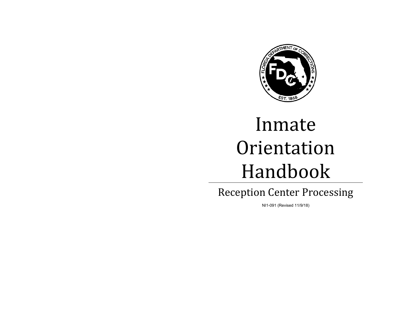

# Inmate Orientation Handbook

Reception Center Processing

NI1-091 (Revised 11/9/18)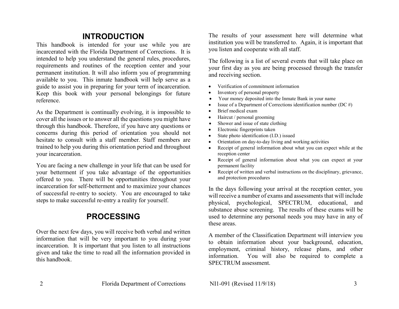# **INTRODUCTION**

This handbook is intended for your use while you are incarcerated with the Florida Department of Corrections. It is intended to help you understand the general rules, procedures, requirements and routines of the reception center and your permanent institution. It will also inform you of programming available to you. This inmate handbook will help serve as a guide to assist you in preparing for your term of incarceration. Keep this book with your personal belongings for future reference.

As the Department is continually evolving, it is impossible to cover all the issues or to answer all the questions you might have through this handbook. Therefore, if you have any questions or concerns during this period of orientation you should not hesitate to consult with a staff member. Staff members are trained to help you during this orientation period and throughout your incarceration.

You are facing a new challenge in your life that can be used for your betterment if you take advantage of the opportunities offered to you. There will be opportunities throughout your incarceration for self-betterment and to maximize your chances of successful re-entry to society. You are encouraged to take steps to make successful re-entry a reality for yourself.

# **PROCESSING**

Over the next few days, you will receive both verbal and written information that will be very important to you during your incarceration. It is important that you listen to all instructions given and take the time to read all the information provided in this handbook.

The results of your assessment here will determine what institution you will be transferred to. Again, it is important that you listen and cooperate with all staff.

The following is a list of several events that will take place on your first day as you are being processed through the transfer and receiving section.

- Verification of commitment information
- Inventory of personal property
- Your money deposited into the Inmate Bank in your name
- Issue of a Department of Corrections identification number (DC  $#$ )
- Brief medical exam
- Haircut / personal grooming
- Shower and issue of state clothing
- Electronic fingerprints taken
- State photo identification (I.D.) issued
- Orientation on day-to-day living and working activities
- Receipt of general information about what you can expect while at the reception center
- Receipt of general information about what you can expect at your permanent facility
- Receipt of written and verbal instructions on the disciplinary, grievance, and protection procedures

In the days following your arrival at the reception center, you will receive a number of exams and assessments that will include physical, psychological, SPECTRUM, educational, and substance abuse screening. The results of these exams will be used to determine any personal needs you may have in any of these areas.

A member of the Classification Department will interview you to obtain information about your background, education, employment, criminal history, release plans, and other information. You will also be required to complete a SPECTRUM assessment.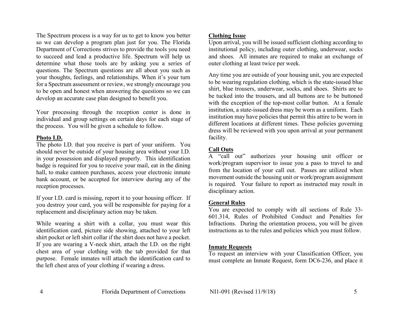The Spectrum process is a way for us to get to know you better so we can develop a program plan just for you. The Florida Department of Corrections strives to provide the tools you need to succeed and lead a productive life. Spectrum will help us determine what those tools are by asking you a series of questions. The Spectrum questions are all about you such as your thoughts, feelings, and relationships. When it's your turn for a Spectrum assessment or review, we strongly encourage you to be open and honest when answering the questions so we can develop an accurate case plan designed to benefit you.

Your processing through the reception center is done in individual and group settings on certain days for each stage of the process. You will be given a schedule to follow.

#### **Photo I.D.**

The photo I.D. that you receive is part of your uniform. You should never be outside of your housing area without your I.D. in your possession and displayed properly. This identification badge is required for you to receive your mail, eat in the dining hall, to make canteen purchases, access your electronic inmate bank account, or be accepted for interview during any of the reception processes.

If your I.D. card is missing, report it to your housing officer. If you destroy your card, you will be responsible for paying for a replacement and disciplinary action may be taken.

While wearing a shirt with a collar, you must wear this identification card, picture side showing, attached to your left shirt pocket or left shirt collar if the shirt does not have a pocket. If you are wearing a V-neck shirt, attach the I.D. on the right chest area of your clothing with the tab provided for that purpose. Female inmates will attach the identification card to the left chest area of your clothing if wearing a dress.

# **Clothing Issue**

Upon arrival, you will be issued sufficient clothing according to institutional policy, including outer clothing, underwear, socks and shoes. All inmates are required to make an exchange of outer clothing at least twice per week.

Any time you are outside of your housing unit, you are expected to be wearing regulation clothing, which is the state-issued blue shirt, blue trousers, underwear, socks, and shoes. Shirts are to be tucked into the trousers, and all buttons are to be buttoned with the exception of the top-most collar button. At a female institution, a state-issued dress may be worn as a uniform. Each institution may have policies that permit this attire to be worn in different locations at different times. These policies governing dress will be reviewed with you upon arrival at your permanent facility.

# **Call Outs**

A "call out" authorizes your housing unit officer or work/program supervisor to issue you a pass to travel to and from the location of your call out. Passes are utilized when movement outside the housing unit or work/program assignment is required. Your failure to report as instructed may result in disciplinary action.

# **General Rules**

You are expected to comply with all sections of Rule 33- 601.314, Rules of Prohibited Conduct and Penalties for Infractions. During the orientation process, you will be given instructions as to the rules and policies which you must follow.

#### **Inmate Requests**

To request an interview with your Classification Officer, you must complete an Inmate Request, form DC6-236, and place it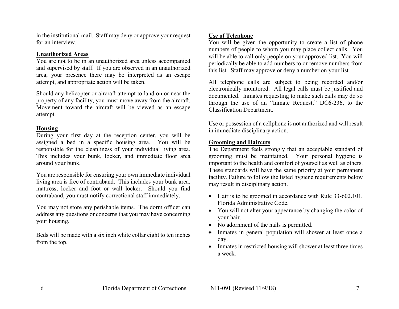in the institutional mail. Staff may deny or approve your request for an interview.

#### **Unauthorized Areas**

You are not to be in an unauthorized area unless accompanied and supervised by staff. If you are observed in an unauthorized area, your presence there may be interpreted as an escape attempt, and appropriate action will be taken.

Should any helicopter or aircraft attempt to land on or near the property of any facility, you must move away from the aircraft. Movement toward the aircraft will be viewed as an escape attempt.

#### **Housing**

During your first day at the reception center, you will be assigned a bed in a specific housing area. You will be responsible for the cleanliness of your individual living area. This includes your bunk, locker, and immediate floor area around your bunk.

You are responsible for ensuring your own immediate individual living area is free of contraband. This includes your bunk area, mattress, locker and foot or wall locker. Should you find contraband, you must notify correctional staff immediately.

You may not store any perishable items. The dorm officer can address any questions or concerns that you may have concerning your housing.

Beds will be made with a six inch white collar eight to ten inches from the top.

#### **Use of Telephone**

You will be given the opportunity to create a list of phone numbers of people to whom you may place collect calls. You will be able to call only people on your approved list. You will periodically be able to add numbers to or remove numbers from this list. Staff may approve or deny a number on your list.

All telephone calls are subject to being recorded and/or electronically monitored. All legal calls must be justified and documented. Inmates requesting to make such calls may do so through the use of an "Inmate Request," DC6-236, to the Classification Department.

Use or possession of a cellphone is not authorized and will result in immediate disciplinary action.

# **Grooming and Haircuts**

The Department feels strongly that an acceptable standard of grooming must be maintained. Your personal hygiene is important to the health and comfort of yourself as well as others. These standards will have the same priority at your permanent facility. Failure to follow the listed hygiene requirements below may result in disciplinary action.

- Hair is to be groomed in accordance with Rule 33-602.101, Florida Administrative Code.
- You will not alter your appearance by changing the color of your hair.
- No adornment of the nails is permitted.
- Inmates in general population will shower at least once a day.
- Inmates in restricted housing will shower at least three times a week.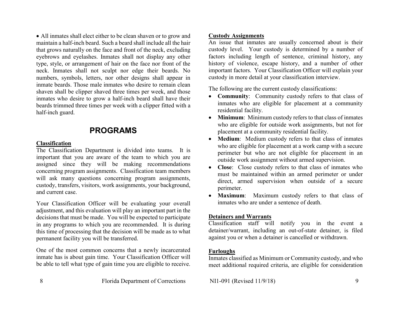All inmates shall elect either to be clean shaven or to grow and maintain a half-inch beard. Such a beard shall include all the hair that grows naturally on the face and front of the neck, excluding eyebrows and eyelashes. Inmates shall not display any other type, style, or arrangement of hair on the face nor front of the neck. Inmates shall not sculpt nor edge their beards. No numbers, symbols, letters, nor other designs shall appear in inmate beards. Those male inmates who desire to remain clean shaven shall be clipper shaved three times per week, and those inmates who desire to grow a half-inch beard shall have their beards trimmed three times per week with a clipper fitted with a half-inch guard.

# **PROGRAMS**

# **Classification**

The Classification Department is divided into teams. It is important that you are aware of the team to which you are assigned since they will be making recommendations concerning program assignments. Classification team members will ask many questions concerning program assignments, custody, transfers, visitors, work assignments, your background, and current case.

Your Classification Officer will be evaluating your overall adjustment, and this evaluation will play an important part in the decisions that must be made. You will be expected to participate in any programs to which you are recommended. It is during this time of processing that the decision will be made as to what permanent facility you will be transferred.

One of the most common concerns that a newly incarcerated inmate has is about gain time. Your Classification Officer will be able to tell what type of gain time you are eligible to receive.

# **Custody Assignments**

An issue that inmates are usually concerned about is their custody level. Your custody is determined by a number of factors including length of sentence, criminal history, any history of violence, escape history, and a number of other important factors. Your Classification Officer will explain your custody in more detail at your classification interview.

The following are the current custody classifications:

- **Community**: Community custody refers to that class of inmates who are eligible for placement at a community residential facility.
- **Minimum**: Minimum custody refers to that class of inmates who are eligible for outside work assignments, but not for placement at a community residential facility.
- **Medium**: Medium custody refers to that class of inmates who are eligible for placement at a work camp with a secure perimeter but who are not eligible for placement in an outside work assignment without armed supervision.
- **Close**: Close custody refers to that class of inmates who must be maintained within an armed perimeter or under direct, armed supervision when outside of a secure perimeter.
- **Maximum**: Maximum custody refers to that class of inmates who are under a sentence of death.

# **Detainers and Warrants**

Classification staff will notify you in the event a detainer/warrant, including an out-of-state detainer, is filed against you or when a detainer is cancelled or withdrawn.

# **Furloughs**

Inmates classified as Minimum or Community custody, and who meet additional required criteria, are eligible for consideration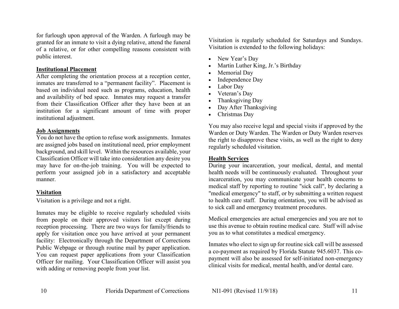for furlough upon approval of the Warden. A furlough may be granted for an inmate to visit a dying relative, attend the funeral of a relative, or for other compelling reasons consistent with public interest.

#### **Institutional Placement**

After completing the orientation process at a reception center, inmates are transferred to a "permanent facility". Placement is based on individual need such as programs, education, health and availability of bed space. Inmates may request a transfer from their Classification Officer after they have been at an institution for a significant amount of time with proper institutional adjustment.

#### **Job Assignments**

You do not have the option to refuse work assignments. Inmates are assigned jobs based on institutional need, prior employment background, and skill level. Within the resources available, your Classification Officer will take into consideration any desire you may have for on-the-job training. You will be expected to perform your assigned job in a satisfactory and acceptable manner.

#### **Visitation**

Visitation is a privilege and not a right.

Inmates may be eligible to receive regularly scheduled visits from people on their approved visitors list except during reception processing. There are two ways for family/friends to apply for visitation once you have arrived at your permanent facility: Electronically through the Department of Corrections Public Webpage or through routine mail by paper application. You can request paper applications from your Classification Officer for mailing. Your Classification Officer will assist you with adding or removing people from your list.

Visitation is regularly scheduled for Saturdays and Sundays. Visitation is extended to the following holidays:

- New Year's Day
- Martin Luther King, Jr.'s Birthday
- Memorial Day
- Independence Day
- Labor Day
- Veteran's Day
- Thanksgiving Day
- Day After Thanksgiving
- Christmas Day

You may also receive legal and special visits if approved by the Warden or Duty Warden. The Warden or Duty Warden reserves the right to disapprove these visits, as well as the right to deny regularly scheduled visitation.

# **Health Services**

During your incarceration, your medical, dental, and mental health needs will be continuously evaluated. Throughout your incarceration, you may communicate your health concerns to medical staff by reporting to routine "sick call", by declaring a "medical emergency" to staff, or by submitting a written request to health care staff. During orientation, you will be advised as to sick call and emergency treatment procedures.

Medical emergencies are actual emergencies and you are not to use this avenue to obtain routine medical care. Staff will advise you as to what constitutes a medical emergency.

Inmates who elect to sign up for routine sick call will be assessed a co-payment as required by Florida Statute 945.6037. This copayment will also be assessed for self-initiated non-emergency clinical visits for medical, mental health, and/or dental care.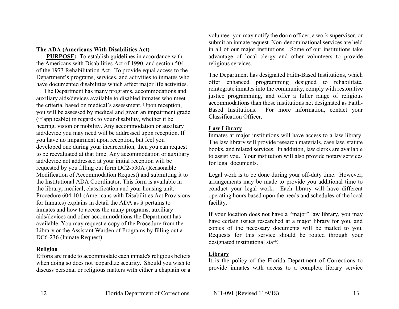# **The ADA (Americans With Disabilities Act)**

**PURPOSE:** To establish guidelines in accordance with the Americans with Disabilities Act of 1990, and section 504 of the 1973 Rehabilitation Act. To provide equal access to the Department's programs, services, and activities to inmates who have documented disabilities which affect major life activities.

 The Department has many programs, accommodations and auxiliary aids/devices available to disabled inmates who meet the criteria, based on medical's assessment. Upon reception, you will be assessed by medical and given an impairment grade (if applicable) in regards to your disability, whether it be hearing, vision or mobility. Any accommodation or auxiliary aid/device you may need will be addressed upon reception. If you have no impairment upon reception, but feel you developed one during your incarceration, then you can request to be reevaluated at that time. Any accommodation or auxiliary aid/device not addressed at your initial reception will be requested by you filling out form DC2-530A (Reasonable Modification of Accommodation Request) and submitting it to the Institutional ADA Coordinator. This form is available in the library, medical, classification and your housing unit. Procedure 604.101 (Americans with Disabilities Act Provisions for Inmates) explains in detail the ADA as it pertains to inmates and how to access the many programs, auxiliary aids/devices and other accommodations the Department has available. You may request a copy of the Procedure from the Library or the Assistant Warden of Programs by filling out a DC6-236 (Inmate Request).

#### **Religion**

Efforts are made to accommodate each inmate's religious beliefs when doing so does not jeopardize security. Should you wish to discuss personal or religious matters with either a chaplain or a volunteer you may notify the dorm officer, a work supervisor, or submit an inmate request. Non-denominational services are held in all of our major institutions. Some of our institutions take advantage of local clergy and other volunteers to provide religious services.

The Department has designated Faith-Based Institutions, which offer enhanced programming designed to rehabilitate, reintegrate inmates into the community, comply with restorative justice programming, and offer a fuller range of religious accommodations than those institutions not designated as Faith-Based Institutions. For more information, contact your Classification Officer.

#### **Law Library**

Inmates at major institutions will have access to a law library. The law library will provide research materials, case law, statute books, and related services. In addition, law clerks are available to assist you. Your institution will also provide notary services for legal documents.

Legal work is to be done during your off-duty time. However, arrangements may be made to provide you additional time to conduct your legal work. Each library will have different operating hours based upon the needs and schedules of the local facility.

If your location does not have a "major" law library, you may have certain issues researched at a major library for you, and copies of the necessary documents will be mailed to you. Requests for this service should be routed through your designated institutional staff.

#### **Library**

It is the policy of the Florida Department of Corrections to provide inmates with access to a complete library service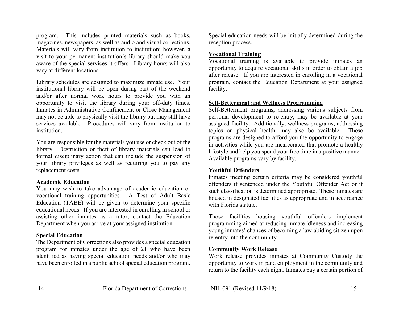program. This includes printed materials such as books, magazines, newspapers, as well as audio and visual collections. Materials will vary from institution to institution; however, a visit to your permanent institution's library should make you aware of the special services it offers. Library hours will also vary at different locations.

Library schedules are designed to maximize inmate use. Your institutional library will be open during part of the weekend and/or after normal work hours to provide you with an opportunity to visit the library during your off-duty times. Inmates in Administrative Confinement or Close Management may not be able to physically visit the library but may still have services available. Procedures will vary from institution to institution.

You are responsible for the materials you use or check out of the library. Destruction or theft of library materials can lead to formal disciplinary action that can include the suspension of your library privileges as well as requiring you to pay any replacement costs.

#### **Academic Education**

You may wish to take advantage of academic education or vocational training opportunities. A Test of Adult Basic Education (TABE) will be given to determine your specific educational needs. If you are interested in enrolling in school or assisting other inmates as a tutor, contact the Education Department when you arrive at your assigned institution.

#### **Special Education**

The Department of Corrections also provides a special education program for inmates under the age of 21 who have been identified as having special education needs and/or who may have been enrolled in a public school special education program.

Special education needs will be initially determined during the reception process.

#### **Vocational Training**

Vocational training is available to provide inmates an opportunity to acquire vocational skills in order to obtain a job after release. If you are interested in enrolling in a vocational program, contact the Education Department at your assigned facility.

#### **Self-Betterment and Wellness Programming**

Self-Betterment programs, addressing various subjects from personal development to re-entry, may be available at your assigned facility. Additionally, wellness programs, addressing topics on physical health, may also be available. These programs are designed to afford you the opportunity to engage in activities while you are incarcerated that promote a healthy lifestyle and help you spend your free time in a positive manner. Available programs vary by facility.

#### **Youthful Offenders**

Inmates meeting certain criteria may be considered youthful offenders if sentenced under the Youthful Offender Act or if such classification is determined appropriate. These inmates are housed in designated facilities as appropriate and in accordance with Florida statute.

Those facilities housing youthful offenders implement programming aimed at reducing inmate idleness and increasing young inmates' chances of becoming a law-abiding citizen upon re-entry into the community.

# **Community Work Release**

Work release provides inmates at Community Custody the opportunity to work in paid employment in the community and return to the facility each night. Inmates pay a certain portion of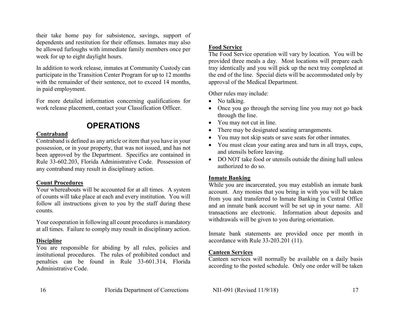their take home pay for subsistence, savings, support of dependents and restitution for their offenses. Inmates may also be allowed furloughs with immediate family members once per week for up to eight daylight hours.

In addition to work release, inmates at Community Custody can participate in the Transition Center Program for up to 12 months with the remainder of their sentence, not to exceed 14 months, in paid employment.

For more detailed information concerning qualifications for work release placement, contact your Classification Officer.

# **OPERATIONS**

# **Contraband**

Contraband is defined as any article or item that you have in your possession, or in your property, that was not issued, and has not been approved by the Department. Specifics are contained in Rule 33-602.203, Florida Administrative Code. Possession of any contraband may result in disciplinary action.

# **Count Procedures**

Your whereabouts will be accounted for at all times. A system of counts will take place at each and every institution. You will follow all instructions given to you by the staff during these counts.

Your cooperation in following all count procedures is mandatory at all times. Failure to comply may result in disciplinary action.

# **Discipline**

You are responsible for abiding by all rules, policies and institutional procedures. The rules of prohibited conduct and penalties can be found in Rule 33-601.314, Florida Administrative Code.

# **Food Service**

The Food Service operation will vary by location. You will be provided three meals a day. Most locations will prepare each tray identically and you will pick up the next tray completed at the end of the line. Special diets will be accommodated only by approval of the Medical Department.

Other rules may include:

- No talking.
- Once you go through the serving line you may not go back through the line.
- You may not cut in line.
- There may be designated seating arrangements.
- You may not skip seats or save seats for other inmates.
- You must clean your eating area and turn in all trays, cups, and utensils before leaving.
- DO NOT take food or utensils outside the dining hall unless authorized to do so.

# **Inmate Banking**

While you are incarcerated, you may establish an inmate bank account. Any monies that you bring in with you will be taken from you and transferred to Inmate Banking in Central Office and an inmate bank account will be set up in your name. All transactions are electronic. Information about deposits and withdrawals will be given to you during orientation.

Inmate bank statements are provided once per month in accordance with Rule 33-203.201 (11).

# **Canteen Services**

Canteen services will normally be available on a daily basis according to the posted schedule. Only one order will be taken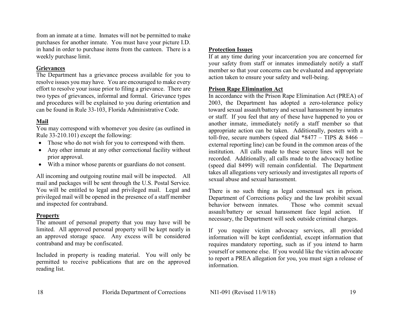from an inmate at a time. Inmates will not be permitted to make purchases for another inmate. You must have your picture I.D. in hand in order to purchase items from the canteen. There is a weekly purchase limit.

#### **Grievances**

The Department has a grievance process available for you to resolve issues you may have. You are encouraged to make every effort to resolve your issue prior to filing a grievance. There are two types of grievances, informal and formal. Grievance types and procedures will be explained to you during orientation and can be found in Rule 33-103, Florida Administrative Code.

# **Mail**

You may correspond with whomever you desire (as outlined in Rule 33-210.101) except the following:

- Those who do not wish for you to correspond with them.
- Any other inmate at any other correctional facility without prior approval.
- With a minor whose parents or guardians do not consent.

All incoming and outgoing routine mail will be inspected. All mail and packages will be sent through the U.S. Postal Service. You will be entitled to legal and privileged mail. Legal and privileged mail will be opened in the presence of a staff member and inspected for contraband.

#### **Property**

The amount of personal property that you may have will be limited. All approved personal property will be kept neatly in an approved storage space. Any excess will be considered contraband and may be confiscated.

Included in property is reading material. You will only be permitted to receive publications that are on the approved reading list.

# **Protection Issues**

If at any time during your incarceration you are concerned for your safety from staff or inmates immediately notify a staff member so that your concerns can be evaluated and appropriate action taken to ensure your safety and well-being.

# **Prison Rape Elimination Act**

In accordance with the Prison Rape Elimination Act (PREA) of 2003, the Department has adopted a zero-tolerance policy toward sexual assault/battery and sexual harassment by inmates or staff. If you feel that any of these have happened to you or another inmate, immediately notify a staff member so that appropriate action can be taken. Additionally, posters with a toll-free, secure numbers (speed dial  $*8477 - TIPS & 8466$ external reporting line) can be found in the common areas of the institution. All calls made to these secure lines will not be recorded. Additionally, all calls made to the advocacy hotline (speed dial 8499) will remain confidential. The Department takes all allegations very seriously and investigates all reports of sexual abuse and sexual harassment.

There is no such thing as legal consensual sex in prison. Department of Corrections policy and the law prohibit sexual behavior between inmates. Those who commit sexual assault/battery or sexual harassment face legal action. If necessary, the Department will seek outside criminal charges.

If you require victim advocacy services, all provided information will be kept confidential, except information that requires mandatory reporting, such as if you intend to harm yourself or someone else. If you would like the victim advocate to report a PREA allegation for you, you must sign a release of information.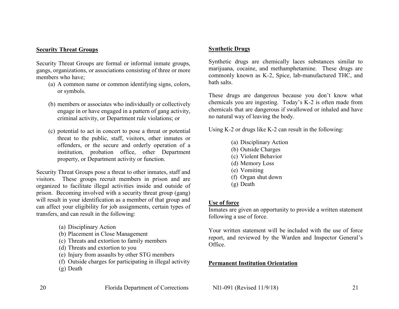# **Security Threat Groups**

Security Threat Groups are formal or informal inmate groups, gangs, organizations, or associations consisting of three or more members who have;

- (a) A common name or common identifying signs, colors, or symbols.
- (b) members or associates who individually or collectively engage in or have engaged in a pattern of gang activity, criminal activity, or Department rule violations; or
- (c) potential to act in concert to pose a threat or potential threat to the public, staff, visitors, other inmates or offenders, or the secure and orderly operation of a institution, probation office, other Department property, or Department activity or function.

Security Threat Groups pose a threat to other inmates, staff and visitors. These groups recruit members in prison and are organized to facilitate illegal activities inside and outside of prison. Becoming involved with a security threat group (gang) will result in your identification as a member of that group and can affect your eligibility for job assignments, certain types of transfers, and can result in the following:

- (a) Disciplinary Action
- (b) Placement in Close Management
- (c) Threats and extortion to family members
- (d) Threats and extortion to you
- (e) Injury from assaults by other STG members
- (f) Outside charges for participating in illegal activity
- (g) Death

# **Synthetic Drugs**

Synthetic drugs are chemically laces substances similar to marijuana, cocaine, and methamphetamine. These drugs are commonly known as K-2, Spice, lab-manufactured THC, and bath salts.

These drugs are dangerous because you don't know what chemicals you are ingesting. Today's K-2 is often made from chemicals that are dangerous if swallowed or inhaled and have no natural way of leaving the body.

Using K-2 or drugs like K-2 can result in the following:

- (a) Disciplinary Action
- (b) Outside Charges
- (c) Violent Behavior
- (d) Memory Loss
- (e) Vomiting
- (f) Organ shut down
- (g) Death

# **Use of force**

Inmates are given an opportunity to provide a written statement following a use of force.

Your written statement will be included with the use of force report, and reviewed by the Warden and Inspector General's Office.

# **Permanent Institution Orientation**